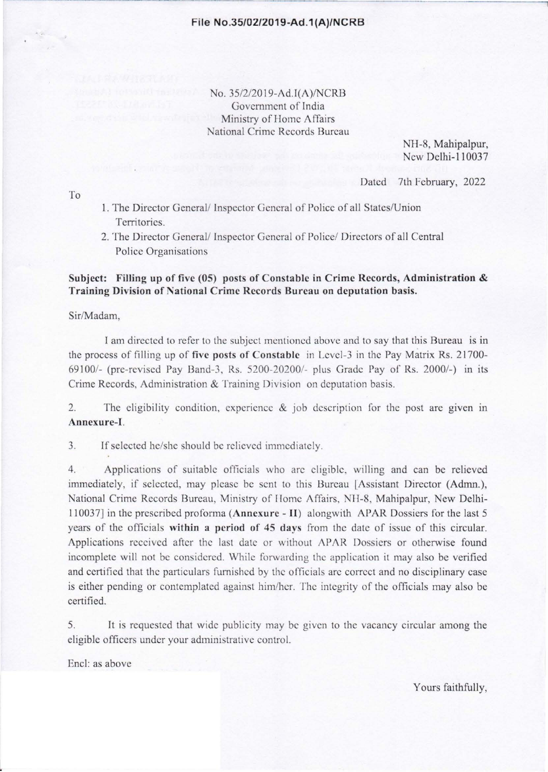No. 35/2/2019-Ad.T(A)/NCRB Government of India Ministry of Home Affairs National Crime Records Bureau

> NH-8, Mahipalpur, New Delhi-110037

Dated 7th February, 2022

To

- 1. The Director General/ Inspector General of Police of all States/Union Territories.
- 2. The Director General/ Inspector General of Police/ Directors of all Central Police Organisations

#### Subject: Filling up of five (05) posts of Constable in Crime Records, Administration  $\&$ Training Division of National Crime Records Bureau on deputation basis.

Sir/Madam,

I am directed to refer to the subject mentioned above and to say that this Bureau is in the process of filling up of five posts of Constable in Level-3 in the Pay Matrix Rs. 21700-69100/- (pre-revised Pay Band-3, Rs. 5200-20200/- plus Grade Pay of Rs. 2000/-) in its Crime Records, Administration & Training Division on deputation basis.

2. The eligibility condition, experience  $\&$  job description for the post are given in Annexure-I.

3. If selected he/she should be relieved immediately.

4. Applications of suitable officials who arc eligible. willing and can be relieved immediately, if selected, may please be sent to this Bureau [Assistant Director (Admn.), National Crime Records Bureau, Ministry of Home Affairs, NH-8, Mahipalpur, New Delhi-110037] in the prescribed proforma (Anncxurc - II) alongwith APAR Dossiers for the last 5 years of the officials within a period of 45 days from the date of issue of this circular. Applications received after the last date or without APAR Dossiers or otherwise found incomplete will not be considered. While forwarding the application it may also be verified and certified that the particulars furnished by the officials arc correct and no disciplinary case is either pending or contemplated against him/her. The integrity of the officials may also be certified.

5. It is requested that wide publicity may be given to the vacancy circular among the eligible officers under your administrative control.

Encl: as above

Yours faithfully,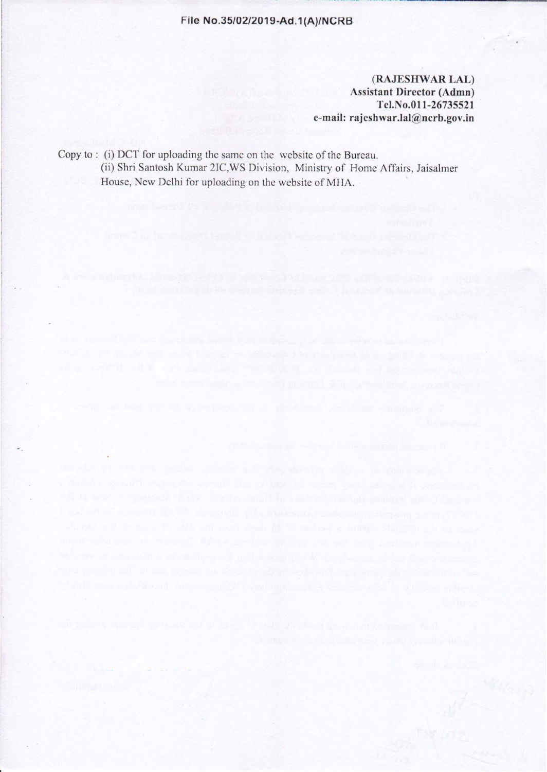#### File No.35/02/2019-Ad.1 (A)/NCRB

(RAJESIIWAR LAL) Assistant Director (Admn) Tcl.No.011-26735521 e-mail: rajeshwar.lal@ncrb.gov.in

Copy to : (i) DCT for uploading the same on the website of the Bureau. (ii) Shri Santosh Kumar 2IC,WS Division, Ministry of Home Affairs, Jaisalmer House, New Delhi for uploading on the website of MIIA.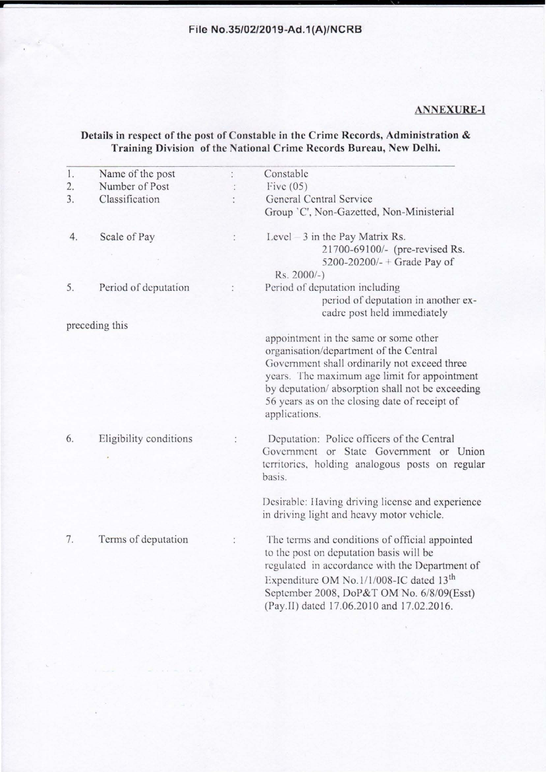### **File No.35/02/2019-Ad.1(A)/NCRB**

#### **ANNEX URE-I**

#### **Details in respect of the post of Constable in the Crime Records, Administration** & **Training Division of the National Crime Records Bureau, New Delhi.**

| 1. | Name of the post       | Constable                                                                                                                                                                                                                                                                                             |  |  |
|----|------------------------|-------------------------------------------------------------------------------------------------------------------------------------------------------------------------------------------------------------------------------------------------------------------------------------------------------|--|--|
| 2. | Number of Post         | Five $(05)$                                                                                                                                                                                                                                                                                           |  |  |
| 3. | Classification         | General Central Service                                                                                                                                                                                                                                                                               |  |  |
|    |                        | Group 'C', Non-Gazetted, Non-Ministerial                                                                                                                                                                                                                                                              |  |  |
| 4. | Scale of Pay           | Level – 3 in the Pay Matrix Rs.<br>21700-69100/- (pre-revised Rs.                                                                                                                                                                                                                                     |  |  |
|    |                        | 5200-20200/- + Grade Pay of<br>Rs. 2000/-)                                                                                                                                                                                                                                                            |  |  |
| 5. | Period of deputation   | Period of deputation including<br>period of deputation in another ex-<br>cadre post held immediately                                                                                                                                                                                                  |  |  |
|    | preceding this         |                                                                                                                                                                                                                                                                                                       |  |  |
|    |                        | appointment in the same or some other<br>organisation/department of the Central<br>Government shall ordinarily not exceed three<br>years. The maximum age limit for appointment<br>by deputation/ absorption shall not be exceeding<br>56 years as on the closing date of receipt of<br>applications. |  |  |
| 6. | Eligibility conditions | Deputation: Police officers of the Central<br>Government or State Government or Union<br>territories, holding analogous posts on regular<br>basis.                                                                                                                                                    |  |  |
|    |                        | Desirable: Having driving license and experience<br>in driving light and heavy motor vehicle.                                                                                                                                                                                                         |  |  |
| 7. | Terms of deputation    | The terms and conditions of official appointed<br>to the post on deputation basis will be<br>regulated in accordance with the Department of<br>Expenditure OM No.1/1/008-IC dated 13 <sup>th</sup><br>September 2008, DoP&T OM No. 6/8/09(Esst)<br>(Pay.II) dated 17.06.2010 and 17.02.2016.          |  |  |
|    |                        |                                                                                                                                                                                                                                                                                                       |  |  |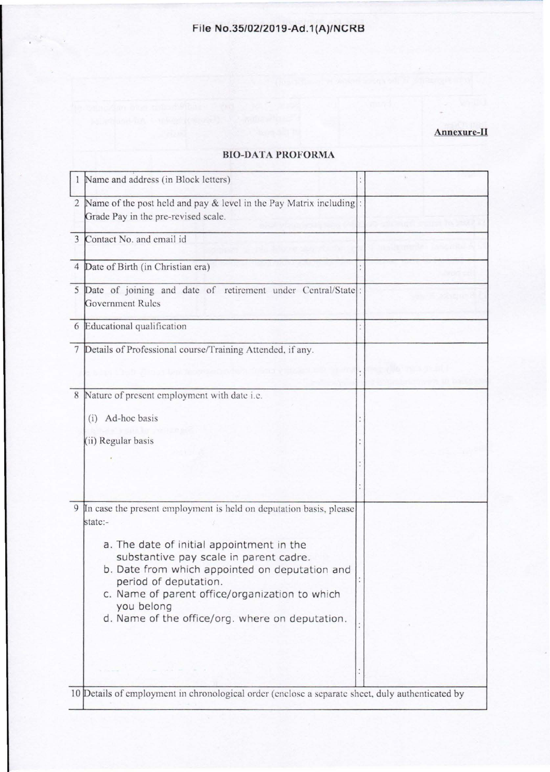# **Annexure-II**

|   | Name and address (in Block letters)                                                                                                                                                                                                                                                                                                                                |  |
|---|--------------------------------------------------------------------------------------------------------------------------------------------------------------------------------------------------------------------------------------------------------------------------------------------------------------------------------------------------------------------|--|
|   | 2 Name of the post held and pay & level in the Pay Matrix including:<br>Grade Pay in the pre-revised scale.                                                                                                                                                                                                                                                        |  |
| 3 | Contact No. and email id                                                                                                                                                                                                                                                                                                                                           |  |
|   | 4 Date of Birth (in Christian era)                                                                                                                                                                                                                                                                                                                                 |  |
|   | 5 Date of joining and date of retirement under Central/State:<br><b>Government Rules</b>                                                                                                                                                                                                                                                                           |  |
|   | 6 Educational qualification                                                                                                                                                                                                                                                                                                                                        |  |
|   | 7 Details of Professional course/Training Attended, if any.                                                                                                                                                                                                                                                                                                        |  |
|   |                                                                                                                                                                                                                                                                                                                                                                    |  |
|   | 8 Nature of present employment with date i.e.<br>(i) Ad-hoc basis<br>(ii) Regular basis                                                                                                                                                                                                                                                                            |  |
|   |                                                                                                                                                                                                                                                                                                                                                                    |  |
| 9 | In case the present employment is held on deputation basis, please<br>state:-<br>a. The date of initial appointment in the<br>substantive pay scale in parent cadre.<br>b. Date from which appointed on deputation and<br>period of deputation.<br>c. Name of parent office/organization to which<br>you belong<br>d. Name of the office/org. where on deputation. |  |
|   | 10 Details of employment in chronological order (enclose a separate sheet, duly authenticated by                                                                                                                                                                                                                                                                   |  |

## **BIO-DATA PROFORMA**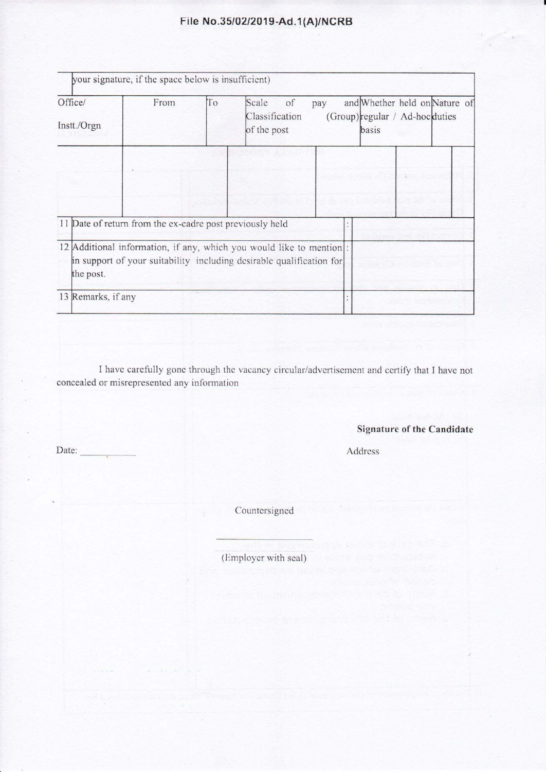# **File No.35/02/2019-Ad.1 (A)/NCRB**

| Office/<br>Instt./Orgn                                   | From | To | Scale<br>of<br>Classification<br>of the post                                                                                                 | pay | basis | and Whether held on Nature of<br>(Group) regular / Ad-hoc duties |  |
|----------------------------------------------------------|------|----|----------------------------------------------------------------------------------------------------------------------------------------------|-----|-------|------------------------------------------------------------------|--|
|                                                          |      |    |                                                                                                                                              |     |       |                                                                  |  |
|                                                          |      |    |                                                                                                                                              |     |       |                                                                  |  |
| 11 Date of return from the ex-cadre post previously held |      |    |                                                                                                                                              |     |       |                                                                  |  |
| the post.                                                |      |    | 12 Additional information, if any, which you would like to mention :<br>in support of your suitability including desirable qualification for |     |       |                                                                  |  |

I have carefully gone through the vacancy circular/advertisement and certify that I have not concealed or misrepresented any information

**Signature of the Candidate** 

Address

Countersigned

Date:

(Employer with seal)